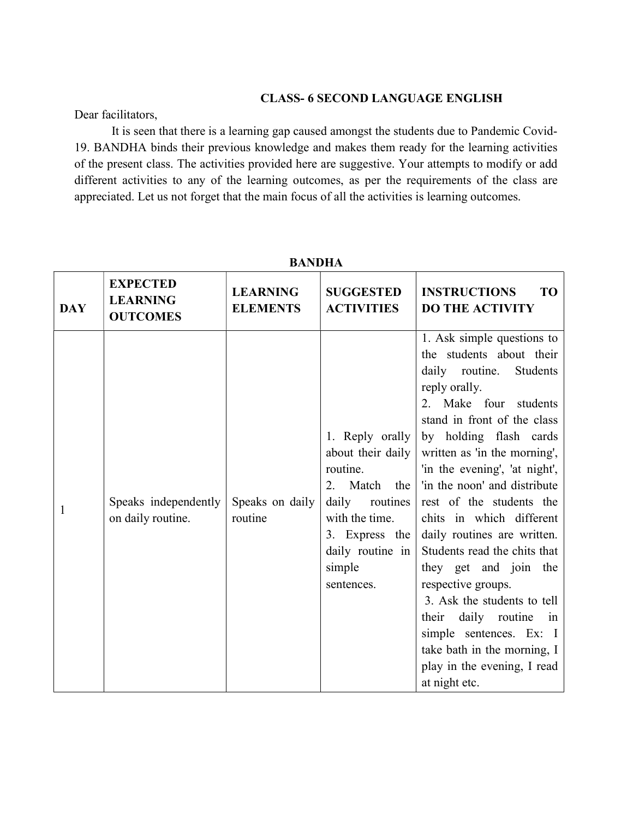## CLASS- 6 SECOND LANGUAGE ENGLISH

Dear facilitators,

 It is seen that there is a learning gap caused amongst the students due to Pandemic Covid-19. BANDHA binds their previous knowledge and makes them ready for the learning activities of the present class. The activities provided here are suggestive. Your attempts to modify or add different activities to any of the learning outcomes, as per the requirements of the class are appreciated. Let us not forget that the main focus of all the activities is learning outcomes.

BANDHA

|              |                                                       | илчина                             |                                                                                                                                                                       |                                                                                                                                                                                                                                                                                                                                                                                                                                                                                                                                                                                                                                         |
|--------------|-------------------------------------------------------|------------------------------------|-----------------------------------------------------------------------------------------------------------------------------------------------------------------------|-----------------------------------------------------------------------------------------------------------------------------------------------------------------------------------------------------------------------------------------------------------------------------------------------------------------------------------------------------------------------------------------------------------------------------------------------------------------------------------------------------------------------------------------------------------------------------------------------------------------------------------------|
| <b>DAY</b>   | <b>EXPECTED</b><br><b>LEARNING</b><br><b>OUTCOMES</b> | <b>LEARNING</b><br><b>ELEMENTS</b> | <b>SUGGESTED</b><br><b>ACTIVITIES</b>                                                                                                                                 | <b>TO</b><br><b>INSTRUCTIONS</b><br><b>DO THE ACTIVITY</b>                                                                                                                                                                                                                                                                                                                                                                                                                                                                                                                                                                              |
| $\mathbf{1}$ | Speaks independently<br>on daily routine.             | Speaks on daily<br>routine         | 1. Reply orally<br>about their daily<br>routine.<br>2. Match the<br>daily<br>routines<br>with the time.<br>3. Express the<br>daily routine in<br>simple<br>sentences. | 1. Ask simple questions to<br>the students about their<br>daily routine.<br>Students<br>reply orally.<br>2. Make four students<br>stand in front of the class<br>by holding flash cards<br>written as 'in the morning',<br>'in the evening', 'at night',<br>'in the noon' and distribute<br>rest of the students the<br>chits in which different<br>daily routines are written.<br>Students read the chits that<br>they get and join the<br>respective groups.<br>3. Ask the students to tell<br>daily routine<br>their<br>in<br>simple sentences. Ex: I<br>take bath in the morning, I<br>play in the evening, I read<br>at night etc. |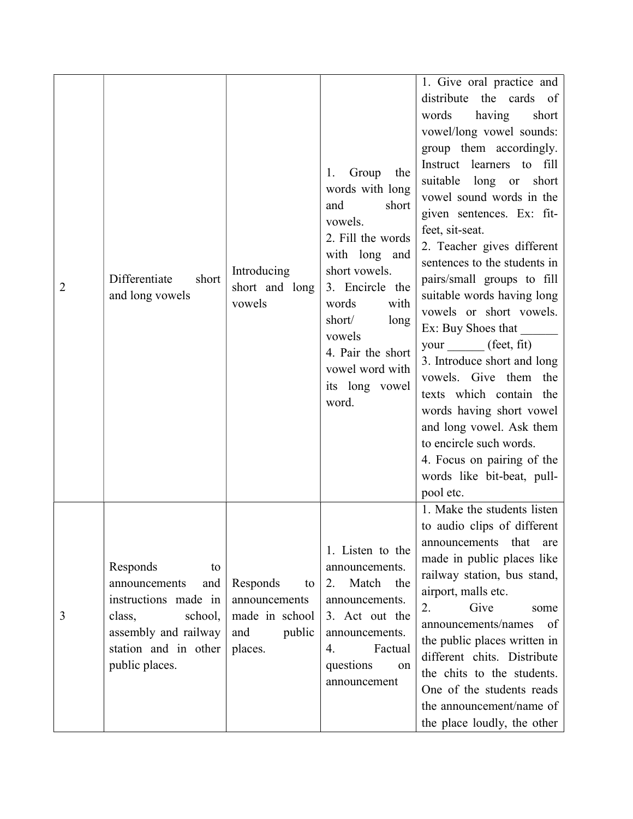| 2 | Differentiate<br>short<br>and long vowels                                                                                                             | Introducing<br>short and long<br>vowels                                       | Group<br>the<br>1.<br>words with long<br>and<br>short<br>vowels.<br>2. Fill the words<br>with long and<br>short vowels.<br>3. Encircle the<br>words<br>with<br>short/<br>long<br>vowels<br>4. Pair the short<br>vowel word with<br>its long vowel<br>word. | 1. Give oral practice and<br>distribute<br>the cards of<br>words<br>having<br>short<br>vowel/long vowel sounds:<br>group them accordingly.<br>Instruct learners to fill<br>suitable long or<br>short<br>vowel sound words in the<br>given sentences. Ex: fit-<br>feet, sit-seat.<br>2. Teacher gives different<br>sentences to the students in<br>pairs/small groups to fill<br>suitable words having long<br>vowels or short vowels.<br>Ex: Buy Shoes that<br>your (feet, fit)<br>3. Introduce short and long<br>vowels. Give them the<br>texts which contain the<br>words having short vowel<br>and long vowel. Ask them<br>to encircle such words.<br>4. Focus on pairing of the<br>words like bit-beat, pull-<br>pool etc. |
|---|-------------------------------------------------------------------------------------------------------------------------------------------------------|-------------------------------------------------------------------------------|------------------------------------------------------------------------------------------------------------------------------------------------------------------------------------------------------------------------------------------------------------|--------------------------------------------------------------------------------------------------------------------------------------------------------------------------------------------------------------------------------------------------------------------------------------------------------------------------------------------------------------------------------------------------------------------------------------------------------------------------------------------------------------------------------------------------------------------------------------------------------------------------------------------------------------------------------------------------------------------------------|
| 3 | Responds<br>to<br>announcements<br>and<br>instructions made in<br>class,<br>school,<br>assembly and railway<br>station and in other<br>public places. | Responds<br>to<br>announcements<br>made in school<br>public<br>and<br>places. | 1. Listen to the<br>announcements.<br>2. Match<br>the<br>announcements.<br>3. Act out the<br>announcements.<br>4.<br>Factual<br>questions<br>on<br>announcement                                                                                            | 1. Make the students listen<br>to audio clips of different<br>that<br>announcements<br>are<br>made in public places like<br>railway station, bus stand,<br>airport, malls etc.<br>Give<br>2.<br>some<br>announcements/names<br>of<br>the public places written in<br>different chits. Distribute<br>the chits to the students.<br>One of the students reads<br>the announcement/name of<br>the place loudly, the other                                                                                                                                                                                                                                                                                                         |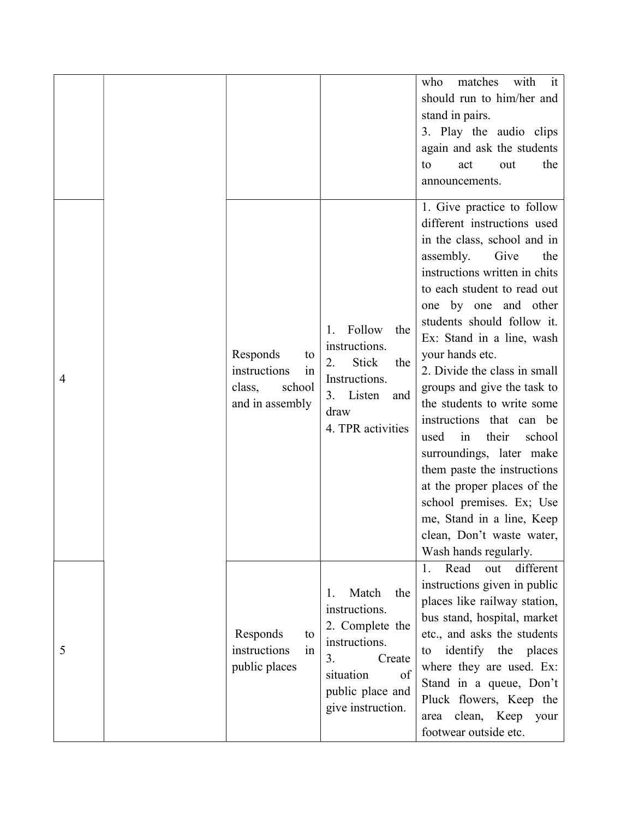|   |                                                                             |                                                                                                                                                     | matches<br>with<br>it<br>who<br>should run to him/her and<br>stand in pairs.<br>3. Play the audio clips<br>again and ask the students<br>the<br>out<br>to<br>act<br>announcements.                                                                                                                                                                                                                                                                                                                                                                                                                                                                            |
|---|-----------------------------------------------------------------------------|-----------------------------------------------------------------------------------------------------------------------------------------------------|---------------------------------------------------------------------------------------------------------------------------------------------------------------------------------------------------------------------------------------------------------------------------------------------------------------------------------------------------------------------------------------------------------------------------------------------------------------------------------------------------------------------------------------------------------------------------------------------------------------------------------------------------------------|
| 4 | Responds<br>to<br>instructions<br>in<br>school<br>class,<br>and in assembly | Follow<br>the<br>1.<br>instructions.<br>2.<br><b>Stick</b><br>the<br>Instructions.<br>Listen<br>3.<br>and<br>draw<br>4. TPR activities              | 1. Give practice to follow<br>different instructions used<br>in the class, school and in<br>Give<br>assembly.<br>the<br>instructions written in chits<br>to each student to read out<br>one by one and other<br>students should follow it.<br>Ex: Stand in a line, wash<br>your hands etc.<br>2. Divide the class in small<br>groups and give the task to<br>the students to write some<br>instructions that can be<br>used<br>their<br>school<br>in<br>surroundings, later make<br>them paste the instructions<br>at the proper places of the<br>school premises. Ex; Use<br>me, Stand in a line, Keep<br>clean, Don't waste water,<br>Wash hands regularly. |
| 5 | Responds<br>to<br>instructions<br>1n<br>public places                       | Match<br>the<br>1.<br>instructions.<br>2. Complete the<br>instructions.<br>3.<br>Create<br>situation<br>of<br>public place and<br>give instruction. | Read<br>different<br>out<br>1.<br>instructions given in public<br>places like railway station,<br>bus stand, hospital, market<br>etc., and asks the students<br>identify the places<br>to<br>where they are used. Ex:<br>Stand in a queue, Don't<br>Pluck flowers, Keep the<br>clean, Keep<br>your<br>area<br>footwear outside etc.                                                                                                                                                                                                                                                                                                                           |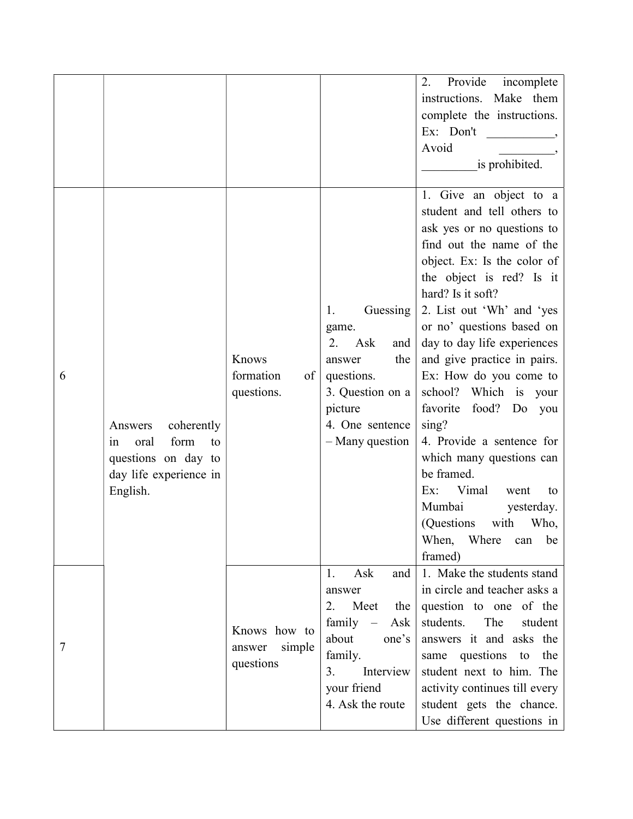|   |                                                                                                                |                                               |                                                                                                                                                         | Provide incomplete<br>2.<br>instructions. Make them<br>complete the instructions.<br>Ex: Don't<br>Avoid<br>is prohibited.                                                                                                                                                                                                                                                                                                                                                                                                                                                                                     |
|---|----------------------------------------------------------------------------------------------------------------|-----------------------------------------------|---------------------------------------------------------------------------------------------------------------------------------------------------------|---------------------------------------------------------------------------------------------------------------------------------------------------------------------------------------------------------------------------------------------------------------------------------------------------------------------------------------------------------------------------------------------------------------------------------------------------------------------------------------------------------------------------------------------------------------------------------------------------------------|
| 6 | coherently<br>Answers<br>form<br>oral<br>to<br>1n<br>questions on day to<br>day life experience in<br>English. | Knows<br>formation<br>of<br>questions.        | Guessing<br>1.<br>game.<br>2.<br>Ask<br>and<br>the<br>answer<br>questions.<br>3. Question on a<br>picture<br>4. One sentence<br>- Many question         | 1. Give an object to a<br>student and tell others to<br>ask yes or no questions to<br>find out the name of the<br>object. Ex: Is the color of<br>the object is red? Is it<br>hard? Is it soft?<br>2. List out 'Wh' and 'yes<br>or no' questions based on<br>day to day life experiences<br>and give practice in pairs.<br>Ex: How do you come to<br>school? Which is your<br>favorite food? Do you<br>sing?<br>4. Provide a sentence for<br>which many questions can<br>be framed.<br>Vimal<br>Ex:<br>went<br>to<br>Mumbai<br>yesterday.<br>(Questions with<br>Who,<br>When,<br>Where<br>can<br>be<br>framed) |
| 7 |                                                                                                                | Knows how to<br>simple<br>answer<br>questions | Ask<br>and<br>1.<br>answer<br>Meet<br>2.<br>the<br>$family -$<br>Ask<br>about<br>one's<br>family.<br>Interview<br>3.<br>your friend<br>4. Ask the route | 1. Make the students stand<br>in circle and teacher asks a<br>question to one of the<br>students.<br>The<br>student<br>answers it and asks the<br>same questions to<br>the<br>student next to him. The<br>activity continues till every<br>student gets the chance.<br>Use different questions in                                                                                                                                                                                                                                                                                                             |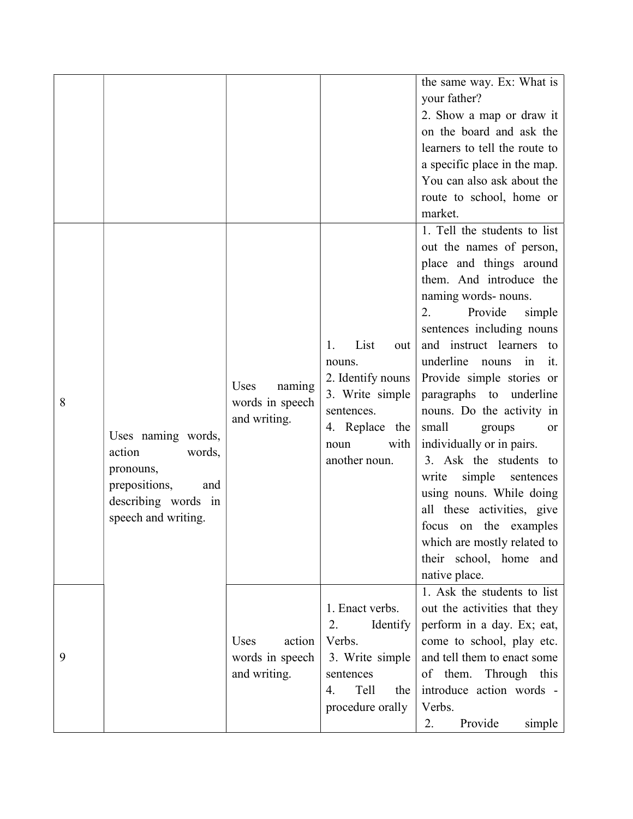|   |                                                                                                                           |                                                   |                                                                                                                                      | the same way. Ex: What is<br>your father?<br>2. Show a map or draw it<br>on the board and ask the<br>learners to tell the route to<br>a specific place in the map.<br>You can also ask about the<br>route to school, home or<br>market.                                                                                                                                                                                                                                                                                                                                                                                                   |
|---|---------------------------------------------------------------------------------------------------------------------------|---------------------------------------------------|--------------------------------------------------------------------------------------------------------------------------------------|-------------------------------------------------------------------------------------------------------------------------------------------------------------------------------------------------------------------------------------------------------------------------------------------------------------------------------------------------------------------------------------------------------------------------------------------------------------------------------------------------------------------------------------------------------------------------------------------------------------------------------------------|
| 8 | Uses naming words,<br>action<br>words,<br>pronouns,<br>prepositions,<br>and<br>describing words in<br>speech and writing. | Uses<br>naming<br>words in speech<br>and writing. | List<br>1.<br>out<br>nouns.<br>2. Identify nouns<br>3. Write simple<br>sentences.<br>4. Replace the<br>with<br>noun<br>another noun. | 1. Tell the students to list<br>out the names of person,<br>place and things around<br>them. And introduce the<br>naming words- nouns.<br>Provide<br>2.<br>simple<br>sentences including nouns<br>and instruct learners to<br>underline<br>in<br>nouns<br>it.<br>Provide simple stories or<br>paragraphs to underline<br>nouns. Do the activity in<br>small<br>groups<br><b>or</b><br>individually or in pairs.<br>3. Ask the students to<br>simple<br>write<br>sentences<br>using nouns. While doing<br>all these activities, give<br>on the examples<br>focus<br>which are mostly related to<br>their school, home and<br>native place. |
| 9 |                                                                                                                           | Uses<br>action<br>words in speech<br>and writing. | 1. Enact verbs.<br>2.<br>Identify<br>Verbs.<br>3. Write simple<br>sentences<br>Tell<br>4.<br>the<br>procedure orally                 | 1. Ask the students to list<br>out the activities that they<br>perform in a day. Ex; eat,<br>come to school, play etc.<br>and tell them to enact some<br>of them.<br>Through this<br>introduce action words -<br>Verbs.<br>Provide<br>2.<br>simple                                                                                                                                                                                                                                                                                                                                                                                        |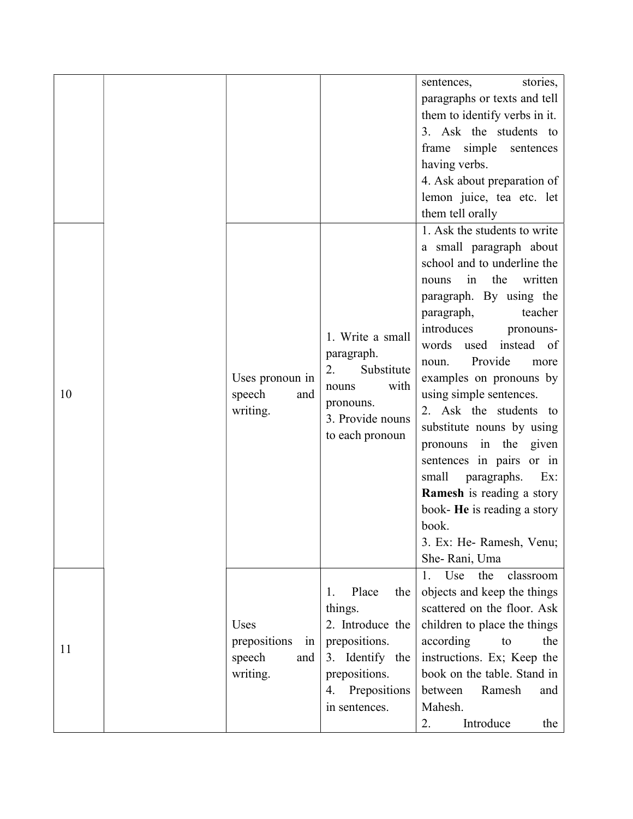|    |                                                         |                                                                                                                                               | stories,<br>sentences,<br>paragraphs or texts and tell<br>them to identify verbs in it.<br>3. Ask the students to<br>simple<br>frame<br>sentences<br>having verbs.<br>4. Ask about preparation of<br>lemon juice, tea etc. let<br>them tell orally                                                                                                                                                                                                                                                                                                                                |
|----|---------------------------------------------------------|-----------------------------------------------------------------------------------------------------------------------------------------------|-----------------------------------------------------------------------------------------------------------------------------------------------------------------------------------------------------------------------------------------------------------------------------------------------------------------------------------------------------------------------------------------------------------------------------------------------------------------------------------------------------------------------------------------------------------------------------------|
| 10 | Uses pronoun in<br>speech<br>and<br>writing.            | 1. Write a small<br>paragraph.<br>2.<br>Substitute<br>with<br>nouns<br>pronouns.<br>3. Provide nouns<br>to each pronoun                       | 1. Ask the students to write<br>a small paragraph about<br>school and to underline the<br>the<br>written<br>in<br>nouns<br>paragraph. By using the<br>paragraph,<br>teacher<br>introduces<br>pronouns-<br>words used instead of<br>Provide<br>noun.<br>more<br>examples on pronouns by<br>using simple sentences.<br>2. Ask the students to<br>substitute nouns by using<br>pronouns in the<br>given<br>sentences in pairs or in<br>small<br>paragraphs.<br>Ex:<br>Ramesh is reading a story<br>book- He is reading a story<br>book.<br>3. Ex: He- Ramesh, Venu;<br>She-Rani, Uma |
| 11 | Uses<br>prepositions<br>in<br>speech<br>and<br>writing. | Place<br>1.<br>the<br>things.<br>2. Introduce the<br>prepositions.<br>3. Identify the<br>prepositions.<br>Prepositions<br>4.<br>in sentences. | Use<br>the<br>classroom<br>1.<br>objects and keep the things<br>scattered on the floor. Ask<br>children to place the things<br>according<br>the<br>to<br>instructions. Ex; Keep the<br>book on the table. Stand in<br>between<br>Ramesh<br>and<br>Mahesh.<br>Introduce<br>2.<br>the                                                                                                                                                                                                                                                                                               |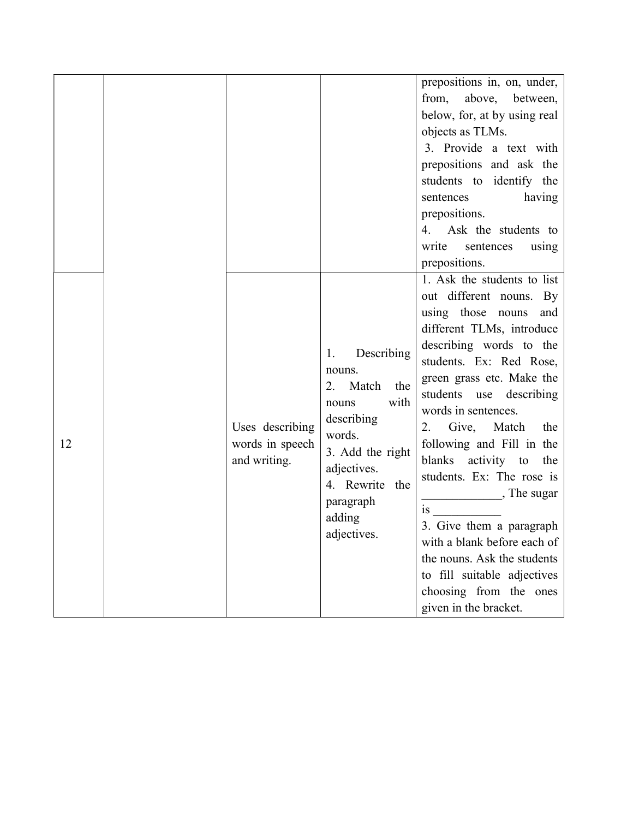|    |                                                    |                                                                                                                                                                                      | prepositions in, on, under,<br>from, above,<br>between,<br>below, for, at by using real<br>objects as TLMs.<br>3. Provide a text with<br>prepositions and ask the<br>students to identify the<br>sentences<br>having<br>prepositions.<br>4. Ask the students to<br>write<br>sentences<br>using<br>prepositions.                                                                                                                                                                                                                                                          |
|----|----------------------------------------------------|--------------------------------------------------------------------------------------------------------------------------------------------------------------------------------------|--------------------------------------------------------------------------------------------------------------------------------------------------------------------------------------------------------------------------------------------------------------------------------------------------------------------------------------------------------------------------------------------------------------------------------------------------------------------------------------------------------------------------------------------------------------------------|
| 12 | Uses describing<br>words in speech<br>and writing. | Describing<br>1.<br>nouns.<br>Match<br>2.<br>the<br>with<br>nouns<br>describing<br>words.<br>3. Add the right<br>adjectives.<br>4. Rewrite the<br>paragraph<br>adding<br>adjectives. | 1. Ask the students to list<br>out different nouns. By<br>using those nouns<br>and<br>different TLMs, introduce<br>describing words to the<br>students. Ex: Red Rose,<br>green grass etc. Make the<br>students use describing<br>words in sentences.<br>Give, Match<br>the<br>2.<br>following and Fill in the<br>blanks activity to<br>the<br>students. Ex: The rose is<br>, The sugar<br>1S<br>3. Give them a paragraph<br>with a blank before each of<br>the nouns. Ask the students<br>to fill suitable adjectives<br>choosing from the ones<br>given in the bracket. |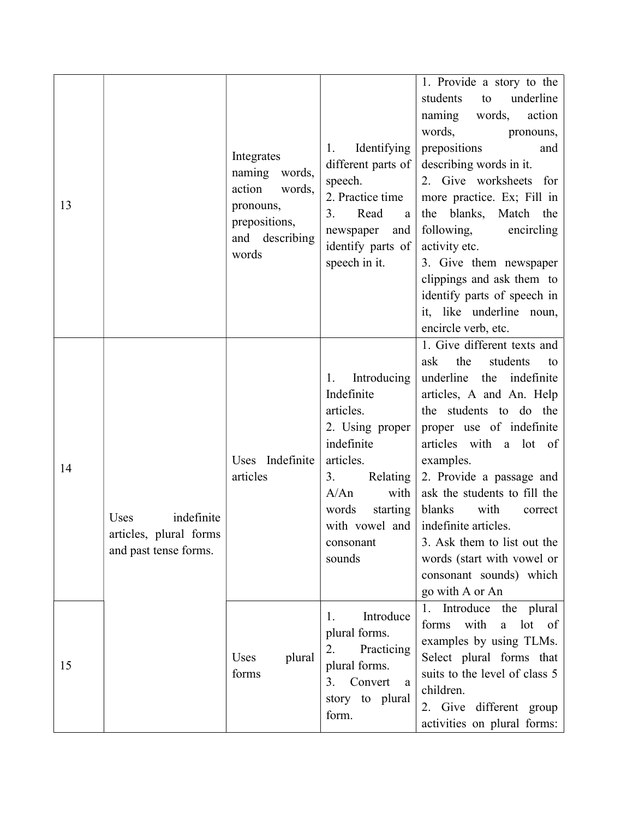| 13 |                                                                       | Integrates<br>naming words,<br>action<br>words,<br>pronouns,<br>prepositions,<br>and describing<br>words | Identifying<br>1.<br>different parts of<br>speech.<br>2. Practice time<br>3.<br>Read<br>a<br>newspaper<br>and<br>identify parts of<br>speech in it.                                        | 1. Provide a story to the<br>underline<br>students<br>to<br>words,<br>action<br>naming<br>words,<br>pronouns,<br>prepositions<br>and<br>describing words in it.<br>2. Give worksheets for<br>more practice. Ex; Fill in<br>the blanks, Match the<br>following,<br>encircling<br>activity etc.<br>3. Give them newspaper<br>clippings and ask them to<br>identify parts of speech in<br>it, like underline noun,<br>encircle verb, etc.          |
|----|-----------------------------------------------------------------------|----------------------------------------------------------------------------------------------------------|--------------------------------------------------------------------------------------------------------------------------------------------------------------------------------------------|-------------------------------------------------------------------------------------------------------------------------------------------------------------------------------------------------------------------------------------------------------------------------------------------------------------------------------------------------------------------------------------------------------------------------------------------------|
| 14 | indefinite<br>Uses<br>articles, plural forms<br>and past tense forms. | Uses Indefinite<br>articles                                                                              | Introducing<br>1.<br>Indefinite<br>articles.<br>2. Using proper<br>indefinite<br>articles.<br>3.<br>Relating<br>A/An<br>with<br>words<br>starting<br>with vowel and<br>consonant<br>sounds | 1. Give different texts and<br>the<br>students<br>ask<br>to<br>underline<br>the indefinite<br>articles, A and An. Help<br>the students to do the<br>proper use of indefinite<br>articles with a lot of<br>examples.<br>2. Provide a passage and<br>ask the students to fill the<br>blanks<br>with<br>correct<br>indefinite articles.<br>3. Ask them to list out the<br>words (start with vowel or<br>consonant sounds) which<br>go with A or An |
| 15 |                                                                       | Uses<br>plural<br>forms                                                                                  | Introduce<br>1.<br>plural forms.<br>2.<br>Practicing<br>plural forms.<br>Convert<br>3.<br>a<br>story to plural<br>form.                                                                    | Introduce<br>the plural<br>1.<br>with<br>a lot of<br>forms<br>examples by using TLMs.<br>Select plural forms that<br>suits to the level of class 5<br>children.<br>2. Give different group<br>activities on plural forms:                                                                                                                                                                                                                       |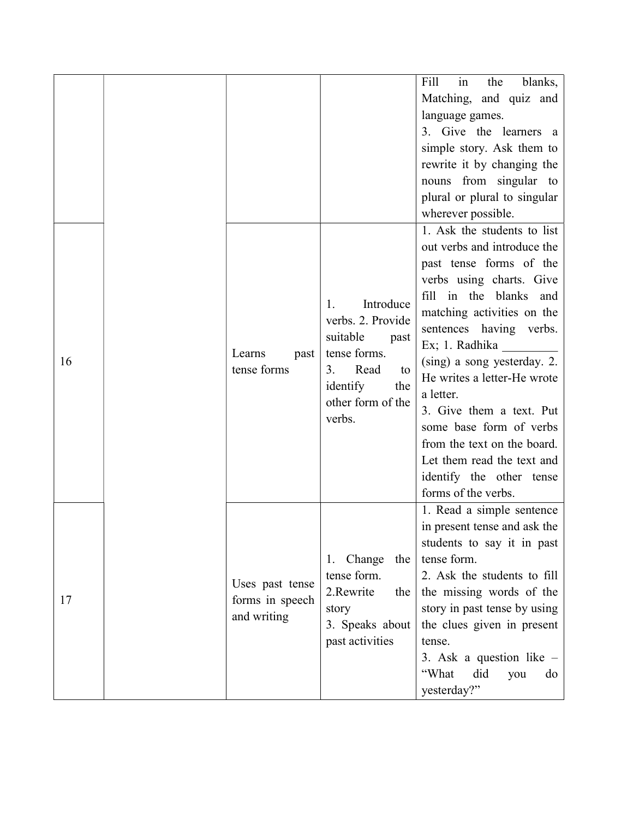|    |  |                               |                                                                                                                             | in<br>Fill<br>blanks,<br>the                        |
|----|--|-------------------------------|-----------------------------------------------------------------------------------------------------------------------------|-----------------------------------------------------|
|    |  |                               |                                                                                                                             | Matching, and quiz and                              |
|    |  |                               |                                                                                                                             | language games.                                     |
|    |  |                               |                                                                                                                             | 3. Give the learners a                              |
|    |  |                               |                                                                                                                             | simple story. Ask them to                           |
|    |  |                               |                                                                                                                             | rewrite it by changing the                          |
|    |  |                               |                                                                                                                             | nouns from singular to                              |
|    |  |                               |                                                                                                                             | plural or plural to singular                        |
|    |  |                               |                                                                                                                             | wherever possible.                                  |
|    |  |                               |                                                                                                                             | 1. Ask the students to list                         |
|    |  |                               |                                                                                                                             | out verbs and introduce the                         |
|    |  |                               |                                                                                                                             | past tense forms of the                             |
|    |  |                               |                                                                                                                             | verbs using charts. Give                            |
|    |  |                               | Introduce<br>1.                                                                                                             | fill in the blanks and                              |
|    |  | Learns<br>past<br>tense forms | verbs. 2. Provide<br>suitable<br>past<br>tense forms.<br>Read<br>3.<br>to<br>identify<br>the<br>other form of the<br>verbs. | matching activities on the                          |
|    |  |                               |                                                                                                                             | sentences having verbs.                             |
|    |  |                               |                                                                                                                             | Ex; 1. Radhika                                      |
| 16 |  |                               |                                                                                                                             | (sing) a song yesterday. 2.                         |
|    |  |                               |                                                                                                                             | He writes a letter-He wrote                         |
|    |  |                               |                                                                                                                             | a letter.                                           |
|    |  |                               |                                                                                                                             | 3. Give them a text. Put<br>some base form of verbs |
|    |  |                               |                                                                                                                             | from the text on the board.                         |
|    |  |                               |                                                                                                                             | Let them read the text and                          |
|    |  |                               |                                                                                                                             | identify the other tense                            |
|    |  |                               |                                                                                                                             | forms of the verbs.                                 |
|    |  |                               |                                                                                                                             | 1. Read a simple sentence                           |
|    |  |                               |                                                                                                                             | in present tense and ask the                        |
|    |  |                               |                                                                                                                             | students to say it in past                          |
|    |  |                               | 1. Change<br>the                                                                                                            | tense form.                                         |
| 17 |  |                               | tense form.                                                                                                                 | 2. Ask the students to fill                         |
|    |  | Uses past tense               | 2.Rewrite<br>the                                                                                                            | the missing words of the                            |
|    |  | forms in speech               | story                                                                                                                       | story in past tense by using                        |
|    |  | and writing                   | 3. Speaks about                                                                                                             | the clues given in present                          |
|    |  |                               | past activities                                                                                                             | tense.                                              |
|    |  |                               |                                                                                                                             | 3. Ask a question like $-$                          |
|    |  |                               |                                                                                                                             | did<br>"What<br>you<br>do                           |
|    |  |                               |                                                                                                                             | yesterday?"                                         |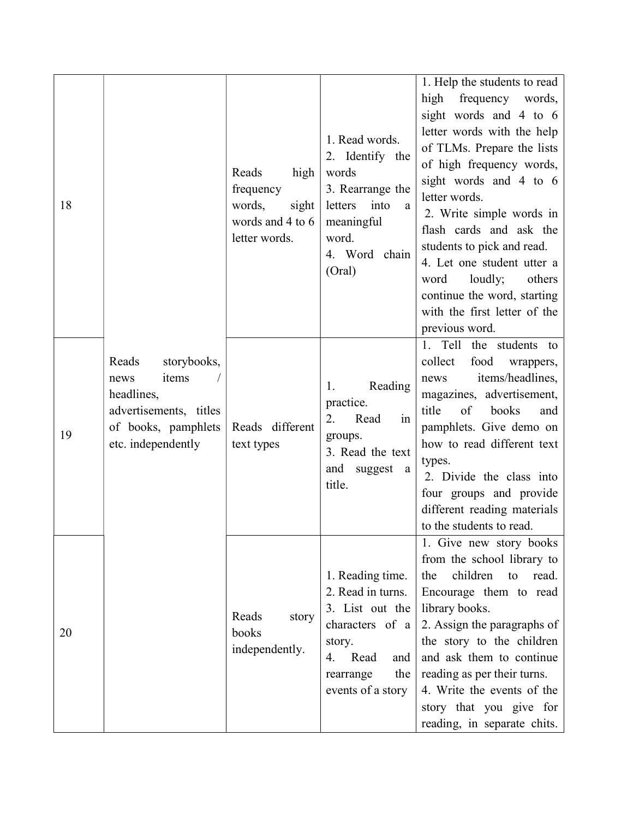| 18 |                                                                                                                            | Reads<br>high<br>frequency<br>words,<br>sight<br>words and 4 to 6<br>letter words. | 1. Read words.<br>2. Identify the<br>words<br>3. Rearrange the<br>into<br>letters<br>a<br>meaningful<br>word.<br>4. Word chain<br>(Oral)            | 1. Help the students to read<br>high<br>frequency<br>words,<br>sight words and 4 to 6<br>letter words with the help<br>of TLMs. Prepare the lists<br>of high frequency words,<br>sight words and 4 to 6<br>letter words.<br>2. Write simple words in<br>flash cards and ask the<br>students to pick and read.<br>4. Let one student utter a<br>loudly;<br>others<br>word<br>continue the word, starting<br>with the first letter of the<br>previous word. |
|----|----------------------------------------------------------------------------------------------------------------------------|------------------------------------------------------------------------------------|-----------------------------------------------------------------------------------------------------------------------------------------------------|-----------------------------------------------------------------------------------------------------------------------------------------------------------------------------------------------------------------------------------------------------------------------------------------------------------------------------------------------------------------------------------------------------------------------------------------------------------|
| 19 | Reads<br>storybooks,<br>items<br>news<br>headlines,<br>advertisements, titles<br>of books, pamphlets<br>etc. independently | Reads different<br>text types                                                      | Reading<br>1.<br>practice.<br>2.<br>Read<br>in<br>groups.<br>3. Read the text<br>and suggest<br>a<br>title.                                         | 1. Tell<br>the students to<br>collect<br>food<br>wrappers,<br>items/headlines,<br>news<br>magazines, advertisement,<br>title<br>of<br>books<br>and<br>pamphlets. Give demo on<br>how to read different text<br>types.<br>2. Divide the class into<br>four groups and provide<br>different reading materials<br>to the students to read.                                                                                                                   |
| 20 |                                                                                                                            | Reads<br>story<br>books<br>independently.                                          | 1. Reading time.<br>2. Read in turns.<br>3. List out the<br>characters of a<br>story.<br>Read<br>and<br>4.<br>the<br>rearrange<br>events of a story | 1. Give new story books<br>from the school library to<br>children<br>read.<br>the<br>to<br>Encourage them to read<br>library books.<br>2. Assign the paragraphs of<br>the story to the children<br>and ask them to continue<br>reading as per their turns.<br>4. Write the events of the<br>story that you give for<br>reading, in separate chits.                                                                                                        |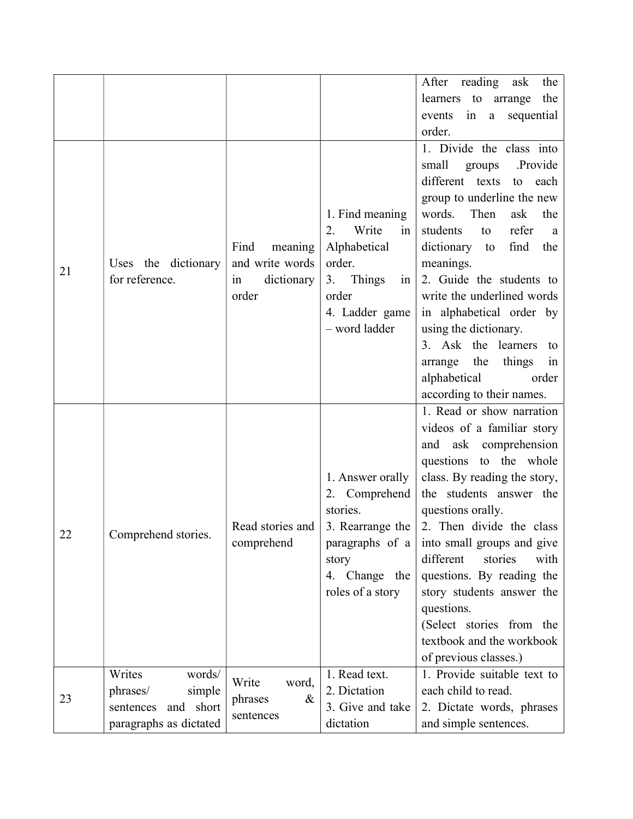|    |                        |                              |                    | After reading ask<br>the        |
|----|------------------------|------------------------------|--------------------|---------------------------------|
|    |                        |                              |                    | learners to arrange<br>the      |
|    |                        |                              |                    | sequential<br>in<br>events<br>a |
|    |                        |                              |                    | order.                          |
|    |                        |                              |                    | 1. Divide the class into        |
|    |                        |                              |                    | small<br>.Provide<br>groups     |
|    |                        |                              |                    | different texts<br>to<br>each   |
|    |                        |                              |                    | group to underline the new      |
|    |                        |                              | 1. Find meaning    | words. Then<br>ask<br>the       |
|    |                        |                              | Write<br>2.<br>in  | students<br>refer<br>to<br>a    |
|    |                        | Find<br>meaning              | Alphabetical       | dictionary to<br>find<br>the    |
| 21 | Uses the dictionary    | and write words              | order.             | meanings.                       |
|    | for reference.         | dictionary<br>in             | Things<br>3.<br>in | 2. Guide the students to        |
|    |                        | order                        | order              | write the underlined words      |
|    |                        |                              | 4. Ladder game     | in alphabetical order by        |
|    |                        |                              | - word ladder      | using the dictionary.           |
|    |                        |                              |                    | 3. Ask the learners to          |
|    |                        |                              |                    | arrange the<br>things<br>in     |
|    |                        |                              |                    | alphabetical<br>order           |
|    |                        |                              |                    | according to their names.       |
|    |                        |                              |                    | 1. Read or show narration       |
|    |                        |                              |                    | videos of a familiar story      |
|    |                        |                              |                    | and ask comprehension           |
|    |                        |                              |                    | questions to the whole          |
|    |                        |                              | 1. Answer orally   | class. By reading the story,    |
|    |                        |                              | 2. Comprehend      | the students answer the         |
|    |                        |                              | stories.           | questions orally.               |
| 22 | Comprehend stories.    | Read stories and             | 3. Rearrange the   | 2. Then divide the class        |
|    |                        | comprehend                   | paragraphs of a    | into small groups and give      |
|    |                        |                              | story              | different<br>stories<br>with    |
|    |                        |                              | 4. Change the      | questions. By reading the       |
|    |                        |                              | roles of a story   | story students answer the       |
|    |                        |                              |                    | questions.                      |
|    |                        |                              |                    | (Select stories from the        |
|    |                        |                              |                    | textbook and the workbook       |
|    |                        |                              |                    | of previous classes.)           |
|    | Writes<br>words/       | Write                        | 1. Read text.      | 1. Provide suitable text to     |
| 23 | phrases/<br>simple     | word,                        | 2. Dictation       | each child to read.             |
|    | sentences and short    | $\&$<br>phrases<br>sentences | 3. Give and take   | 2. Dictate words, phrases       |
|    | paragraphs as dictated |                              | dictation          | and simple sentences.           |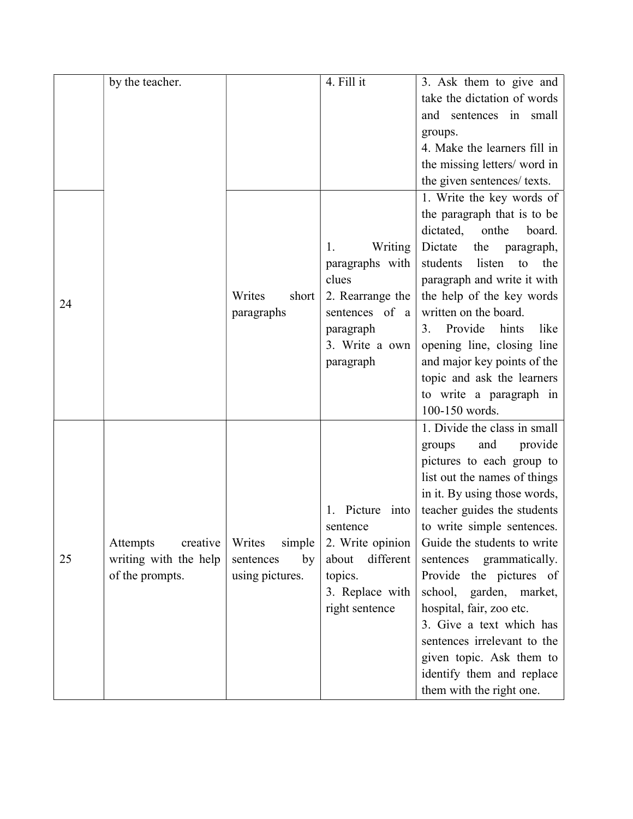|    | by the teacher.       |                  | 4. Fill it            | 3. Ask them to give and         |
|----|-----------------------|------------------|-----------------------|---------------------------------|
|    |                       |                  |                       | take the dictation of words     |
|    |                       |                  |                       | and sentences in small          |
|    |                       |                  |                       | groups.                         |
|    |                       |                  |                       | 4. Make the learners fill in    |
|    |                       |                  |                       | the missing letters/ word in    |
|    |                       |                  |                       | the given sentences/ texts.     |
|    |                       |                  |                       | 1. Write the key words of       |
|    |                       |                  |                       | the paragraph that is to be     |
|    |                       |                  |                       | dictated,<br>onthe<br>board.    |
|    |                       |                  | Writing<br>1.         | Dictate<br>the<br>paragraph,    |
|    |                       |                  | paragraphs with       | students<br>listen<br>the<br>to |
|    |                       |                  | clues                 | paragraph and write it with     |
|    |                       | Writes<br>short  | 2. Rearrange the      | the help of the key words       |
| 24 |                       | paragraphs       | sentences of a        | written on the board.           |
|    |                       |                  | paragraph             | Provide<br>hints<br>like<br>3.  |
|    |                       |                  | 3. Write a own        | opening line, closing line      |
|    |                       |                  | paragraph             | and major key points of the     |
|    |                       |                  |                       | topic and ask the learners      |
|    |                       |                  |                       | to write a paragraph in         |
|    |                       |                  |                       | 100-150 words.                  |
|    |                       |                  |                       | 1. Divide the class in small    |
|    |                       |                  |                       | and<br>provide<br>groups        |
|    |                       |                  |                       | pictures to each group to       |
|    |                       |                  |                       | list out the names of things    |
|    |                       |                  |                       | in it. By using those words,    |
|    |                       |                  | Picture<br>into<br>1. | teacher guides the students     |
|    |                       |                  | sentence              | to write simple sentences.      |
|    | Attempts<br>creative  | simple<br>Writes | 2. Write opinion      | Guide the students to write     |
| 25 | writing with the help | by<br>sentences  | different<br>about    | sentences<br>grammatically.     |
|    | of the prompts.       | using pictures.  | topics.               | Provide the pictures of         |
|    |                       |                  | 3. Replace with       | school, garden, market,         |
|    |                       |                  | right sentence        | hospital, fair, zoo etc.        |
|    |                       |                  |                       | 3. Give a text which has        |
|    |                       |                  |                       | sentences irrelevant to the     |
|    |                       |                  |                       | given topic. Ask them to        |
|    |                       |                  |                       | identify them and replace       |
|    |                       |                  |                       | them with the right one.        |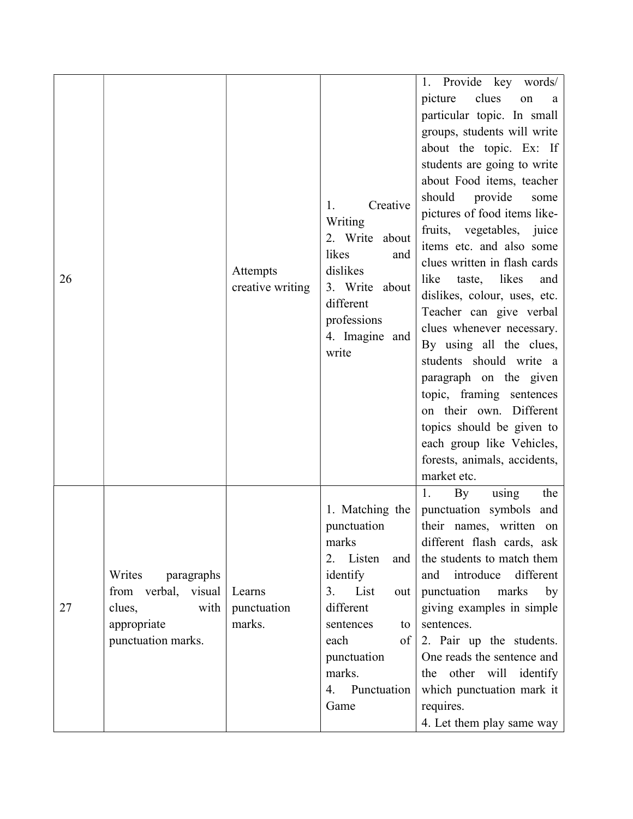|    |                                                                                                    |                                 |                                                                                                                                                                                                             | Provide key words/<br>1.                                                                                                                                                                                                                                                                                                                                                                                                                                                                                                                                                                                                                                                                                        |
|----|----------------------------------------------------------------------------------------------------|---------------------------------|-------------------------------------------------------------------------------------------------------------------------------------------------------------------------------------------------------------|-----------------------------------------------------------------------------------------------------------------------------------------------------------------------------------------------------------------------------------------------------------------------------------------------------------------------------------------------------------------------------------------------------------------------------------------------------------------------------------------------------------------------------------------------------------------------------------------------------------------------------------------------------------------------------------------------------------------|
| 26 |                                                                                                    | Attempts<br>creative writing    | Creative<br>1.<br>Writing<br>2. Write about<br>likes<br>and<br>dislikes<br>3. Write about<br>different<br>professions<br>4. Imagine and<br>write                                                            | clues<br>picture<br>on<br>a<br>particular topic. In small<br>groups, students will write<br>about the topic. Ex: If<br>students are going to write<br>about Food items, teacher<br>should<br>provide<br>some<br>pictures of food items like-<br>fruits, vegetables, juice<br>items etc. and also some<br>clues written in flash cards<br>likes<br>like<br>taste,<br>and<br>dislikes, colour, uses, etc.<br>Teacher can give verbal<br>clues whenever necessary.<br>By using all the clues,<br>students should write a<br>paragraph on the given<br>topic, framing sentences<br>on their own. Different<br>topics should be given to<br>each group like Vehicles,<br>forests, animals, accidents,<br>market etc. |
| 27 | Writes<br>paragraphs<br>from verbal, visual<br>clues,<br>with<br>appropriate<br>punctuation marks. | Learns<br>punctuation<br>marks. | 1. Matching the<br>punctuation<br>marks<br>2. Listen<br>and  <br>identify<br>3. List<br>out  <br>different<br>sentences<br>to<br>each<br>of <sup>1</sup><br>punctuation<br>marks.<br>4. Punctuation<br>Game | using<br>By<br>1.<br>the<br>punctuation symbols and<br>their names, written on<br>different flash cards, ask<br>the students to match them<br>different<br>introduce<br>and<br>punctuation marks<br>by<br>giving examples in simple<br>sentences.<br>2. Pair up the students.<br>One reads the sentence and<br>the other will identify<br>which punctuation mark it<br>requires.<br>4. Let them play same way                                                                                                                                                                                                                                                                                                   |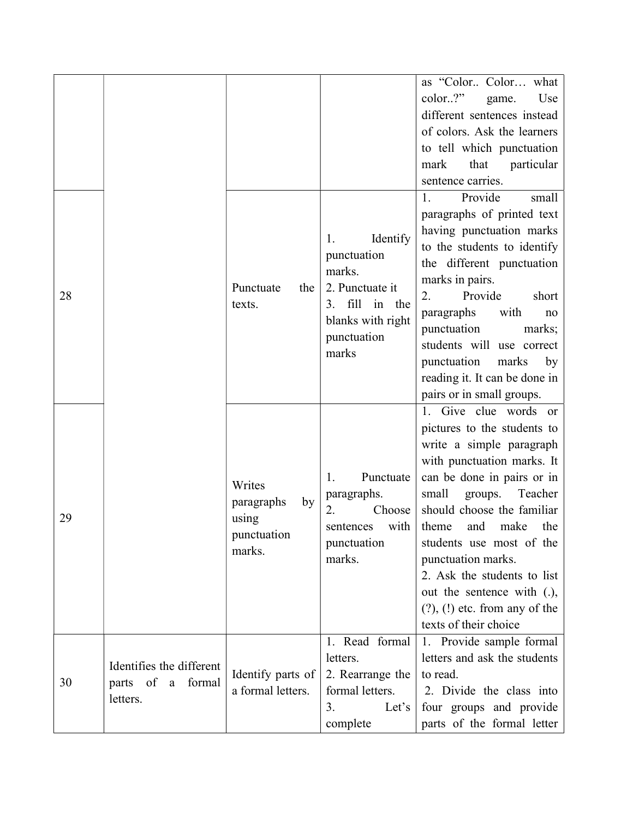|    |                                                           |                                                              |                                                                                                                              | as "Color Color what<br>color.?"<br>Use<br>game.<br>different sentences instead<br>of colors. Ask the learners<br>to tell which punctuation<br>that particular<br>mark<br>sentence carries.                                                                                                                                                                                                                            |
|----|-----------------------------------------------------------|--------------------------------------------------------------|------------------------------------------------------------------------------------------------------------------------------|------------------------------------------------------------------------------------------------------------------------------------------------------------------------------------------------------------------------------------------------------------------------------------------------------------------------------------------------------------------------------------------------------------------------|
| 28 |                                                           | Punctuate<br>the<br>texts.                                   | Identify<br>1.<br>punctuation<br>marks.<br>2. Punctuate it<br>fill in the<br>3.<br>blanks with right<br>punctuation<br>marks | Provide<br>1.<br>small<br>paragraphs of printed text<br>having punctuation marks<br>to the students to identify<br>the different punctuation<br>marks in pairs.<br>Provide<br>2.<br>short<br>paragraphs<br>with<br>no<br>punctuation<br>marks;<br>students will use correct<br>punctuation<br>marks<br>by<br>reading it. It can be done in<br>pairs or in small groups.                                                |
| 29 |                                                           | Writes<br>by<br>paragraphs<br>using<br>punctuation<br>marks. | Punctuate<br>1.<br>paragraphs.<br>Choose<br>2.<br>with<br>sentences<br>punctuation<br>marks.                                 | 1. Give clue words or<br>pictures to the students to<br>write a simple paragraph<br>with punctuation marks. It<br>can be done in pairs or in<br>small<br>groups.<br>Teacher<br>should choose the familiar<br>and<br>make<br>the<br>theme<br>students use most of the<br>punctuation marks.<br>2. Ask the students to list<br>out the sentence with (.),<br>$(?)$ , $(!)$ etc. from any of the<br>texts of their choice |
| 30 | Identifies the different<br>parts of a formal<br>letters. | Identify parts of<br>a formal letters.                       | 1. Read formal<br>letters.<br>2. Rearrange the<br>formal letters.<br>Let's<br>3.<br>complete                                 | 1. Provide sample formal<br>letters and ask the students<br>to read.<br>2. Divide the class into<br>four groups and provide<br>parts of the formal letter                                                                                                                                                                                                                                                              |